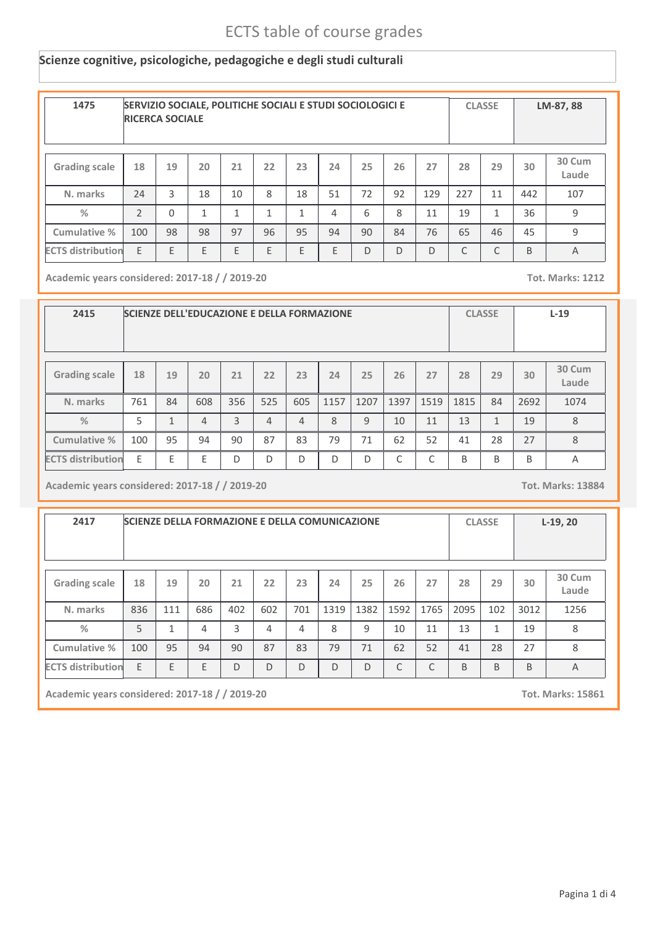### **Scienze cognitive, psicologiche, pedagogiche e degli studi culturali**

| 1475                     | SERVIZIO SOCIALE, POLITICHE SOCIALI E STUDI SOCIOLOGICI E<br><b>RICERCA SOCIALE</b> |          |              | <b>CLASSE</b> |    | LM-87, 88 |    |    |                |     |     |              |     |                 |
|--------------------------|-------------------------------------------------------------------------------------|----------|--------------|---------------|----|-----------|----|----|----------------|-----|-----|--------------|-----|-----------------|
| <b>Grading scale</b>     | 18                                                                                  | 19       | 20           | 21            | 22 | 23        | 24 | 25 | 26             | 27  | 28  | 29           | 30  | 30 Cum<br>Laude |
| N. marks                 | 24                                                                                  | 3        | 18           | 10            | 8  | 18        | 51 | 72 | 92             | 129 | 227 | 11           | 442 | 107             |
| $\frac{0}{2}$            | $\mathcal{P}$                                                                       | $\Omega$ | $\mathbf{1}$ | 1             | 1  | 1         | 4  | 6  | 8              | 11  | 19  | $\mathbf{1}$ | 36  | 9               |
| Cumulative %             | 100                                                                                 | 98       | 98           | 97            | 96 | 95        | 94 | 90 | 84             | 76  | 65  | 46           | 45  | 9               |
| <b>ECTS distribution</b> | E                                                                                   | F        | E            | E             | D  | C         | C  | B  | $\overline{A}$ |     |     |              |     |                 |

**Academic years considered: 2017-18 / / 2019-20 Tot. Marks: 1212**

| 2415                     | <b>SCIENZE DELL'EDUCAZIONE E DELLA FORMAZIONE</b> |              |                |     |     |                |      |              |            |           | <b>CLASSE</b> |              | $L-19$ |                 |
|--------------------------|---------------------------------------------------|--------------|----------------|-----|-----|----------------|------|--------------|------------|-----------|---------------|--------------|--------|-----------------|
| <b>Grading scale</b>     | 18                                                | 19           | 20             | 21  | 22  | 23             | 24   | 25           | 26         | 27        | 28            | 29           | 30     | 30 Cum<br>Laude |
| N. marks                 | 761                                               | 84           | 608            | 356 | 525 | 605            | 1157 | 1207         | 1397       | 1519      | 1815          | 84           | 2692   | 1074            |
| $\frac{9}{6}$            | 5                                                 | $\mathbf{1}$ | $\overline{4}$ | 3   | 4   | $\overline{4}$ | 8    | $\mathsf{q}$ | 10         | 11        | 13            | $\mathbf{1}$ | 19     | 8               |
| Cumulative %             | 100                                               | 95           | 94             | 90  | 87  | 83             | 79   | 71           | 62         | 52        | 41            | 28           | 27     | 8               |
| <b>ECTS distribution</b> | F                                                 | F            | E              | D   | D   | D              | D    | D            | $\sqrt{2}$ | $\subset$ | B             | B            | B      | Α               |

**Academic years considered: 2017-18 / / 2019-20 Tot. Marks: 13884**

| 2417                     |     |     | <b>SCIENZE DELLA FORMAZIONE E DELLA COMUNICAZIONE</b> |     | <b>CLASSE</b> |     | $L-19, 20$ |      |                |      |      |              |      |                 |
|--------------------------|-----|-----|-------------------------------------------------------|-----|---------------|-----|------------|------|----------------|------|------|--------------|------|-----------------|
| <b>Grading scale</b>     | 18  | 19  | 20                                                    | 21  | 22            | 23  | 24         | 25   | 26             | 27   | 28   | 29           | 30   | 30 Cum<br>Laude |
| N. marks                 | 836 | 111 | 686                                                   | 402 | 602           | 701 | 1319       | 1382 | 1592           | 1765 | 2095 | 102          | 3012 | 1256            |
| $\frac{0}{2}$            | 5   | 1   | 4                                                     | 3   | 4             | 4   | 8          | 9    | 10             | 11   | 13   | $\mathbf{1}$ | 19   | 8               |
| Cumulative %             | 100 | 95  | 94                                                    | 90  | 87            | 83  | 79         | 71   | 62             | 52   | 41   | 28           | 27   | 8               |
| <b>ECTS distribution</b> | E   | E   | E                                                     | D   | C             | B   | B          | B    | $\overline{A}$ |      |      |              |      |                 |

**Academic years considered: 2017-18 / / 2019-20 Tot. Marks: 15861**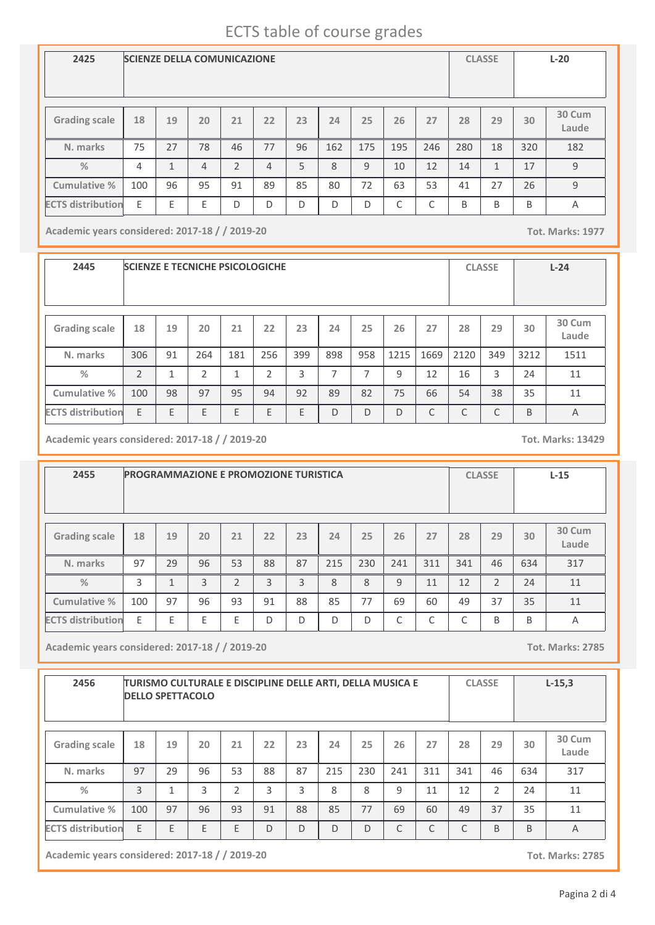| 2425                     | <b>SCIENZE DELLA COMUNICAZIONE</b> |              |                |                |    |    | <b>CLASSE</b> |     | $L-20$ |            |     |              |     |                 |
|--------------------------|------------------------------------|--------------|----------------|----------------|----|----|---------------|-----|--------|------------|-----|--------------|-----|-----------------|
| <b>Grading scale</b>     | 18                                 | 19           | 20             | 21             | 22 | 23 | 24            | 25  | 26     | 27         | 28  | 29           | 30  | 30 Cum<br>Laude |
| N. marks                 | 75                                 | 27           | 78             | 46             | 77 | 96 | 162           | 175 | 195    | 246        | 280 | 18           | 320 | 182             |
| $\frac{0}{2}$            | 4                                  | $\mathbf{1}$ | $\overline{4}$ | $\overline{2}$ | 4  | 5  | 8             | 9   | 10     | 12         | 14  | $\mathbf{1}$ | 17  | 9               |
| Cumulative %             | 100                                | 96           | 95             | 91             | 89 | 85 | 80            | 72  | 63     | 53         | 41  | 27           | 26  | 9               |
| <b>ECTS distribution</b> | E                                  | E            | E              | D              | D  | D  | D             | D   | ⌒      | $\sqrt{2}$ | B   | B            | B   | A               |

**Academic years considered: 2017-18 / / 2019-20 Tot. Marks: 1977**

**2445 SCIENZE E TECNICHE PSICOLOGICHE CLASSE L-24 Grading scale 18 N. marks Cumulative % %** 306 **19** 91 **20** 264 **<sup>21</sup> <sup>22</sup> <sup>23</sup> <sup>24</sup> <sup>25</sup> <sup>26</sup> <sup>27</sup> <sup>28</sup> <sup>29</sup> 30 Cum Laude** 181 256 399 898 958 1215 1669 2120 349 1511 **30** 3212 2 1 2 1 2 3 7 7 9 12 16 3 24 11 100 98 97 95 94 92 89 82 75 66 54 38 35 11 **ECTS distribution** E E E E E E D D D C C C B A

**Academic years considered: 2017-18 / / 2019-20 Tot. Marks: 13429**

**2455 PROGRAMMAZIONE E PROMOZIONE TURISTICA CLASSE L-15 Grading scale 18 N. marks Cumulative % %** 97 **19** 29 **20** 96 **<sup>21</sup> <sup>22</sup> <sup>23</sup> <sup>24</sup> <sup>25</sup> <sup>26</sup> <sup>27</sup> <sup>28</sup> <sup>29</sup> 30 Cum Laude** 53 88 87 215 230 241 311 341 46 317 **30** 634 3 | 1 | 3 | 2 | 3 | 3 | 8 | 8 | 9 | 11 | 12 | 2 | 24 | 11 100 97 96 93 91 88 85 77 69 60 49 37 35 11 **ECTS distribution** E E E E D D D D C C C B B A

**Academic years considered: 2017-18 / / 2019-20 Tot. Marks: 2785**

| 2456                     |     | TURISMO CULTURALE E DISCIPLINE DELLE ARTI, DELLA MUSICA E<br><b>DELLO SPETTACOLO</b> |    |    | <b>CLASSE</b> |    | $L-15,3$ |                 |     |     |     |    |     |     |
|--------------------------|-----|--------------------------------------------------------------------------------------|----|----|---------------|----|----------|-----------------|-----|-----|-----|----|-----|-----|
| <b>Grading scale</b>     | 18  | 19                                                                                   | 20 | 21 | 28            | 29 | 30       | 30 Cum<br>Laude |     |     |     |    |     |     |
| N. marks                 | 97  | 29                                                                                   | 96 | 53 | 88            | 87 | 215      | 230             | 241 | 311 | 341 | 46 | 634 | 317 |
| $\%$                     | 3   | $\mathbf{1}$                                                                         | 3  | C  | 3             | 3  | 8        | 8               | 9   | 11  | 12  | 2  | 24  | 11  |
| Cumulative %             | 100 | 97                                                                                   | 96 | 93 | 91            | 88 | 85       | 77              | 69  | 60  | 49  | 37 | 35  | 11  |
| <b>ECTS distribution</b> | E.  | E                                                                                    | E  | E  | C             | C  | B        | B               | A   |     |     |    |     |     |

**Academic years considered: 2017-18 / / 2019-20 Tot. Marks: 2785**

Pagina 2 di 4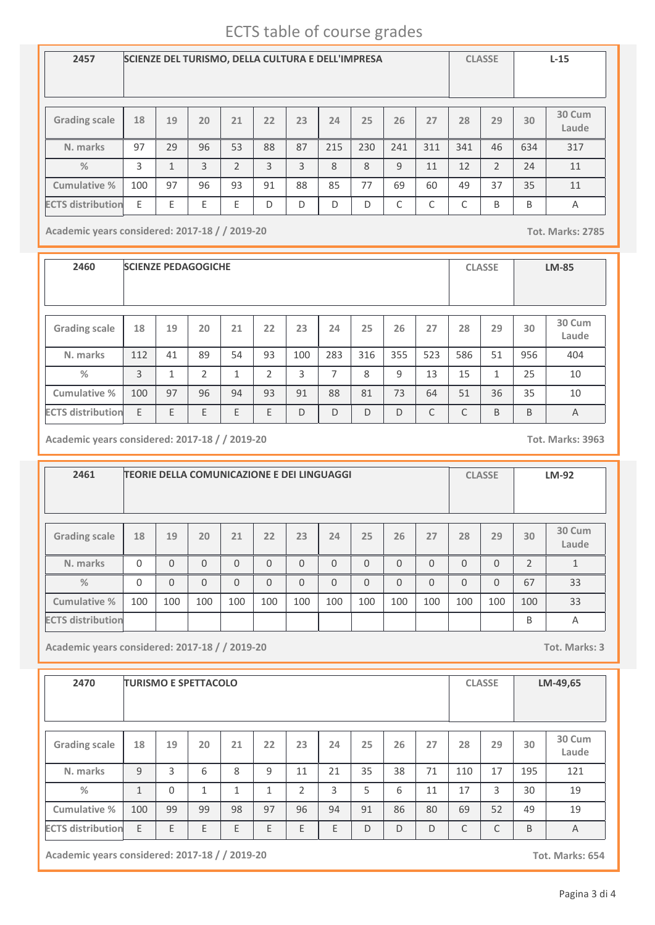| 2457                     | SCIENZE DEL TURISMO, DELLA CULTURA E DELL'IMPRESA |                         |    |                |    | <b>CLASSE</b> |     | $L-15$ |              |     |     |                |     |                 |
|--------------------------|---------------------------------------------------|-------------------------|----|----------------|----|---------------|-----|--------|--------------|-----|-----|----------------|-----|-----------------|
|                          |                                                   |                         |    |                |    |               |     |        |              |     |     |                |     |                 |
| <b>Grading scale</b>     | 18                                                | 19                      | 20 | 21             | 22 | 23            | 24  | 25     | 26           | 27  | 28  | 29             | 30  | 30 Cum<br>Laude |
| N. marks                 | 97                                                | 29                      | 96 | 53             | 88 | 87            | 215 | 230    | 241          | 311 | 341 | 46             | 634 | 317             |
| $\frac{0}{0}$            | 3                                                 | $\mathbf{\overline{1}}$ | 3  | $\overline{2}$ | 3  | 3             | 8   | 8      | $\mathbf{q}$ | 11  | 12  | $\mathfrak{D}$ | 74  | 11              |
| Cumulative %             | 100                                               | 97                      | 96 | 93             | 91 | 88            | 85  | 77     | 69           | 60  | 49  | 37             | 35  | 11              |
| <b>ECTS distribution</b> | E                                                 | E                       | E  | E              | D  | D             | D   | D      | C            | C   | C   | B              | B   | A               |

**Academic years considered: 2017-18 / / 2019-20 Tot. Marks: 2785**

**2460 SCIENZE PEDAGOGICHE CLASSE LM-85 Grading scale 18 N. marks Cumulative % %** 112 **19** 41 **20** 89 **<sup>21</sup> <sup>22</sup> <sup>23</sup> <sup>24</sup> <sup>25</sup> <sup>26</sup> <sup>27</sup> <sup>28</sup> <sup>29</sup> 30 Cum Laude** 54 | 93 | 100 | 283 | 316 | 355 | 523 | 586 | 51 | 956 | 404 **30** 956 3 | 1 | 2 | 1 | 2 | 3 | 7 | 8 | 9 | 13 | 15 | 1 | 25 | 10 100 97 96 94 93 91 88 81 73 64 51 36 35 10 **ECTS distribution** E E E E E D D D D C C B B A

**Academic years considered: 2017-18 / / 2019-20 Tot. Marks: 3963**

**2461 TEORIE DELLA COMUNICAZIONE E DEI LINGUAGGI CLASSE LM-92 Grading scale 18 N. marks Cumulative % %** 0 **19** 0 **20** 0 **<sup>21</sup> <sup>22</sup> <sup>23</sup> <sup>24</sup> <sup>25</sup> <sup>26</sup> <sup>27</sup> <sup>28</sup> <sup>29</sup> 30 Cum Laude** 0 0 0 0 0 0 0 0 0 0 0 1 **30** 2 0 0 0 0 0 0 0 0 0 0 0 0 0 0 0 0 0 1 0 33 100 100 100 100 100 100 100 100 100 100 100 100 100 33 **ECTS distribution** B A

**Academic years considered: 2017-18 / / 2019-20 Tot. Marks: 3**

| 2470                     |              |          | <b>TURISMO E SPETTACOLO</b> |              | <b>CLASSE</b> |                | LM-49,65 |    |    |    |     |    |     |                 |
|--------------------------|--------------|----------|-----------------------------|--------------|---------------|----------------|----------|----|----|----|-----|----|-----|-----------------|
| <b>Grading scale</b>     | 18           | 19       | 20                          | 21           | 22            | 23             | 24       | 25 | 26 | 27 | 28  | 29 | 30  | 30 Cum<br>Laude |
| N. marks                 | 9            | 3        | 6                           | 8            | 9             | 11             | 21       | 35 | 38 | 71 | 110 | 17 | 195 | 121             |
| %                        | $\mathbf{1}$ | $\Omega$ | $\mathbf{1}$                | $\mathbf{1}$ | 1             | $\overline{2}$ | 3        | 5  | 6  | 11 | 17  | 3  | 30  | 19              |
| Cumulative %             | 100          | 99       | 99                          | 98           | 97            | 96             | 94       | 91 | 86 | 80 | 69  | 52 | 49  | 19              |
| <b>ECTS distribution</b> | E            | E        | E                           | E            | E             | Ε              | E        | D  | D  | D  | C   | C  | B   | $\overline{A}$  |

**Academic years considered: 2017-18 / / 2019-20 Tot. Marks: 654**

Pagina 3 di 4